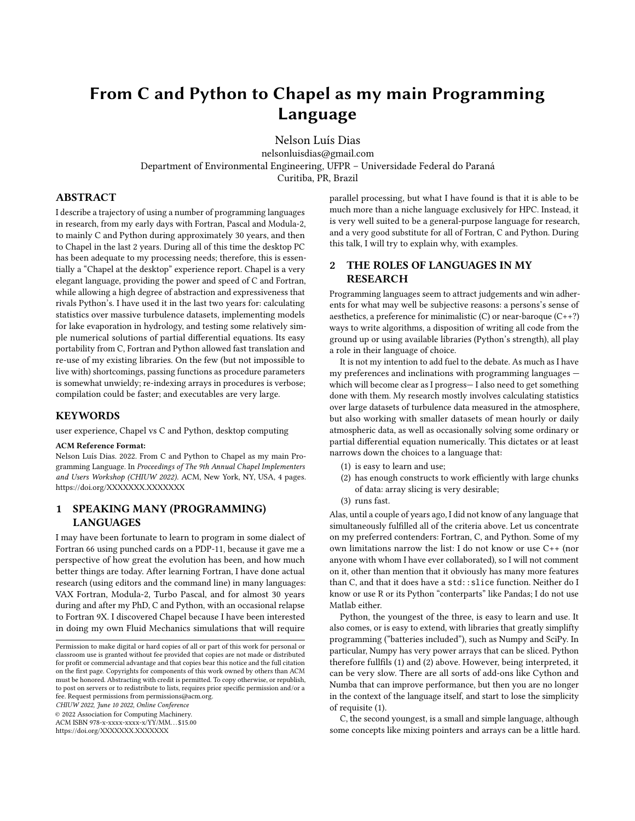# From C and Python to Chapel as my main Programming Language

[Nelson Luís Dias](https://orcid.org/0000-0002-9770-8595)

nelsonluisdias@gmail.com Department of Environmental Engineering, UFPR – Universidade Federal do Paraná Curitiba, PR, Brazil

ABSTRACT

I describe a trajectory of using a number of programming languages in research, from my early days with Fortran, Pascal and Modula-2, to mainly C and Python during approximately 30 years, and then to Chapel in the last 2 years. During all of this time the desktop PC has been adequate to my processing needs; therefore, this is essentially a "Chapel at the desktop" experience report. Chapel is a very elegant language, providing the power and speed of C and Fortran, while allowing a high degree of abstraction and expressiveness that rivals Python's. I have used it in the last two years for: calculating statistics over massive turbulence datasets, implementing models for lake evaporation in hydrology, and testing some relatively simple numerical solutions of partial differential equations. Its easy portability from C, Fortran and Python allowed fast translation and re-use of my existing libraries. On the few (but not impossible to live with) shortcomings, passing functions as procedure parameters is somewhat unwieldy; re-indexing arrays in procedures is verbose; compilation could be faster; and executables are very large.

#### KEYWORDS

user experience, Chapel vs C and Python, desktop computing

#### ACM Reference Format:

Nelson Luís Dias. 2022. From C and Python to Chapel as my main Programming Language. In Proceedings of The 9th Annual Chapel Implementers and Users Workshop (CHIUW 2022). ACM, New York, NY, USA, [4](#page-3-0) pages. <https://doi.org/XXXXXXX.XXXXXXX>

# 1 SPEAKING MANY (PROGRAMMING) LANGUAGES

I may have been fortunate to learn to program in some dialect of Fortran 66 using punched cards on a PDP-11, because it gave me a perspective of how great the evolution has been, and how much better things are today. After learning Fortran, I have done actual research (using editors and the command line) in many languages: VAX Fortran, Modula-2, Turbo Pascal, and for almost 30 years during and after my PhD, C and Python, with an occasional relapse to Fortran 9X. I discovered Chapel because I have been interested in doing my own Fluid Mechanics simulations that will require

CHIUW 2022, June 10 2022, Online Conference

© 2022 Association for Computing Machinery.

ACM ISBN 978-x-xxxx-xxxx-x/YY/MM. . . \$15.00

<https://doi.org/XXXXXXX.XXXXXXX>

parallel processing, but what I have found is that it is able to be much more than a niche language exclusively for HPC. Instead, it is very well suited to be a general-purpose language for research, and a very good substitute for all of Fortran, C and Python. During this talk, I will try to explain why, with examples.

# 2 THE ROLES OF LANGUAGES IN MY RESEARCH

Programming languages seem to attract judgements and win adherents for what may well be subjective reasons: a persons's sense of aesthetics, a preference for minimalistic  $(C)$  or near-baroque  $(C^{++})$ ways to write algorithms, a disposition of writing all code from the ground up or using available libraries (Python's strength), all play a role in their language of choice.

It is not my intention to add fuel to the debate. As much as I have my preferences and inclinations with programming languages which will become clear as I progress— I also need to get something done with them. My research mostly involves calculating statistics over large datasets of turbulence data measured in the atmosphere, but also working with smaller datasets of mean hourly or daily atmospheric data, as well as occasionally solving some ordinary or partial differential equation numerically. This dictates or at least narrows down the choices to a language that:

- (1) is easy to learn and use;
- (2) has enough constructs to work efficiently with large chunks of data: array slicing is very desirable;
- (3) runs fast.

Alas, until a couple of years ago, I did not know of any language that simultaneously fulfilled all of the criteria above. Let us concentrate on my preferred contenders: Fortran, C, and Python. Some of my own limitations narrow the list: I do not know or use C++ (nor anyone with whom I have ever collaborated), so I will not comment on it, other than mention that it obviously has many more features than C, and that it does have a std:: slice function. Neither do I know or use R or its Python "conterparts" like Pandas; I do not use Matlab either.

Python, the youngest of the three, is easy to learn and use. It also comes, or is easy to extend, with libraries that greatly simplifty programming ("batteries included"), such as Numpy and SciPy. In particular, Numpy has very power arrays that can be sliced. Python therefore fullfils (1) and (2) above. However, being interpreted, it can be very slow. There are all sorts of add-ons like Cython and Numba that can improve performance, but then you are no longer in the context of the language itself, and start to lose the simplicity of requisite (1).

C, the second youngest, is a small and simple language, although some concepts like mixing pointers and arrays can be a little hard.

Permission to make digital or hard copies of all or part of this work for personal or classroom use is granted without fee provided that copies are not made or distributed for profit or commercial advantage and that copies bear this notice and the full citation on the first page. Copyrights for components of this work owned by others than ACM must be honored. Abstracting with credit is permitted. To copy otherwise, or republish, to post on servers or to redistribute to lists, requires prior specific permission and/or a fee. Request permissions from permissions@acm.org.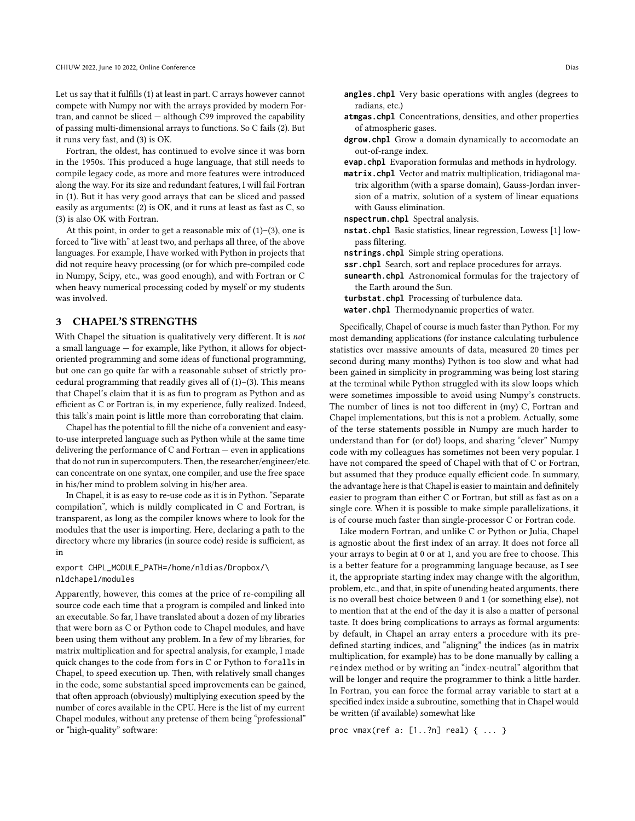Let us say that it fulfills (1) at least in part. C arrays however cannot compete with Numpy nor with the arrays provided by modern Fortran, and cannot be sliced — although C99 improved the capability of passing multi-dimensional arrays to functions. So C fails (2). But it runs very fast, and (3) is OK.

Fortran, the oldest, has continued to evolve since it was born in the 1950s. This produced a huge language, that still needs to compile legacy code, as more and more features were introduced along the way. For its size and redundant features, I will fail Fortran in (1). But it has very good arrays that can be sliced and passed easily as arguments: (2) is OK, and it runs at least as fast as C, so (3) is also OK with Fortran.

At this point, in order to get a reasonable mix of  $(1)$ – $(3)$ , one is forced to "live with" at least two, and perhaps all three, of the above languages. For example, I have worked with Python in projects that did not require heavy processing (or for which pre-compiled code in Numpy, Scipy, etc., was good enough), and with Fortran or C when heavy numerical processing coded by myself or my students was involved.

## 3 CHAPEL'S STRENGTHS

With Chapel the situation is qualitatively very different. It is not a small language — for example, like Python, it allows for objectoriented programming and some ideas of functional programming, but one can go quite far with a reasonable subset of strictly procedural programming that readily gives all of (1)–(3). This means that Chapel's claim that it is as fun to program as Python and as efficient as C or Fortran is, in my experience, fully realized. Indeed, this talk's main point is little more than corroborating that claim.

Chapel has the potential to fill the niche of a convenient and easyto-use interpreted language such as Python while at the same time delivering the performance of C and Fortran — even in applications that do not run in supercomputers. Then, the researcher/engineer/etc. can concentrate on one syntax, one compiler, and use the free space in his/her mind to problem solving in his/her area.

In Chapel, it is as easy to re-use code as it is in Python. "Separate compilation", which is mildly complicated in C and Fortran, is transparent, as long as the compiler knows where to look for the modules that the user is importing. Here, declaring a path to the directory where my libraries (in source code) reside is sufficient, as in

#### export CHPL\_MODULE\_PATH=/home/nldias/Dropbox/\ nldchapel/modules

Apparently, however, this comes at the price of re-compiling all source code each time that a program is compiled and linked into an executable. So far, I have translated about a dozen of my libraries that were born as C or Python code to Chapel modules, and have been using them without any problem. In a few of my libraries, for matrix multiplication and for spectral analysis, for example, I made quick changes to the code from fors in C or Python to foralls in Chapel, to speed execution up. Then, with relatively small changes in the code, some substantial speed improvements can be gained, that often approach (obviously) multiplying execution speed by the number of cores available in the CPU. Here is the list of my current Chapel modules, without any pretense of them being "professional" or "high-quality" software:

- **angles.chpl** Very basic operations with angles (degrees to radians, etc.)
- **atmgas.chpl** Concentrations, densities, and other properties of atmospheric gases.
- **dgrow.chpl** Grow a domain dynamically to accomodate an out-of-range index.

**evap.chpl** Evaporation formulas and methods in hydrology.

- **matrix.chpl** Vector and matrix multiplication, tridiagonal matrix algorithm (with a sparse domain), Gauss-Jordan inversion of a matrix, solution of a system of linear equations with Gauss elimination.
- **nspectrum.chpl** Spectral analysis.
- **nstat.chpl** Basic statistics, linear regression, Lowess [\[1\]](#page-3-1) lowpass filtering.
- **nstrings.chpl** Simple string operations.
- **ssr.chpl** Search, sort and replace procedures for arrays.
- **sunearth.chpl** Astronomical formulas for the trajectory of the Earth around the Sun.
- **turbstat.chpl** Processing of turbulence data.
- **water.chpl** Thermodynamic properties of water.

Specifically, Chapel of course is much faster than Python. For my most demanding applications (for instance calculating turbulence statistics over massive amounts of data, measured 20 times per second during many months) Python is too slow and what had been gained in simplicity in programming was being lost staring at the terminal while Python struggled with its slow loops which were sometimes impossible to avoid using Numpy's constructs. The number of lines is not too different in (my) C, Fortran and Chapel implementations, but this is not a problem. Actually, some of the terse statements possible in Numpy are much harder to understand than for (or do!) loops, and sharing "clever" Numpy code with my colleagues has sometimes not been very popular. I have not compared the speed of Chapel with that of C or Fortran, but assumed that they produce equally efficient code. In summary, the advantage here is that Chapel is easier to maintain and definitely easier to program than either C or Fortran, but still as fast as on a single core. When it is possible to make simple parallelizations, it is of course much faster than single-processor C or Fortran code.

Like modern Fortran, and unlike C or Python or Julia, Chapel is agnostic about the first index of an array. It does not force all your arrays to begin at 0 or at 1, and you are free to choose. This is a better feature for a programming language because, as I see it, the appropriate starting index may change with the algorithm, problem, etc., and that, in spite of unending heated arguments, there is no overall best choice between 0 and 1 (or something else), not to mention that at the end of the day it is also a matter of personal taste. It does bring complications to arrays as formal arguments: by default, in Chapel an array enters a procedure with its predefined starting indices, and "aligning" the indices (as in matrix multiplication, for example) has to be done manually by calling a reindex method or by writing an "index-neutral" algorithm that will be longer and require the programmer to think a little harder. In Fortran, you can force the formal array variable to start at a specified index inside a subroutine, something that in Chapel would be written (if available) somewhat like

proc vmax(ref a: [1..?n] real) { ... }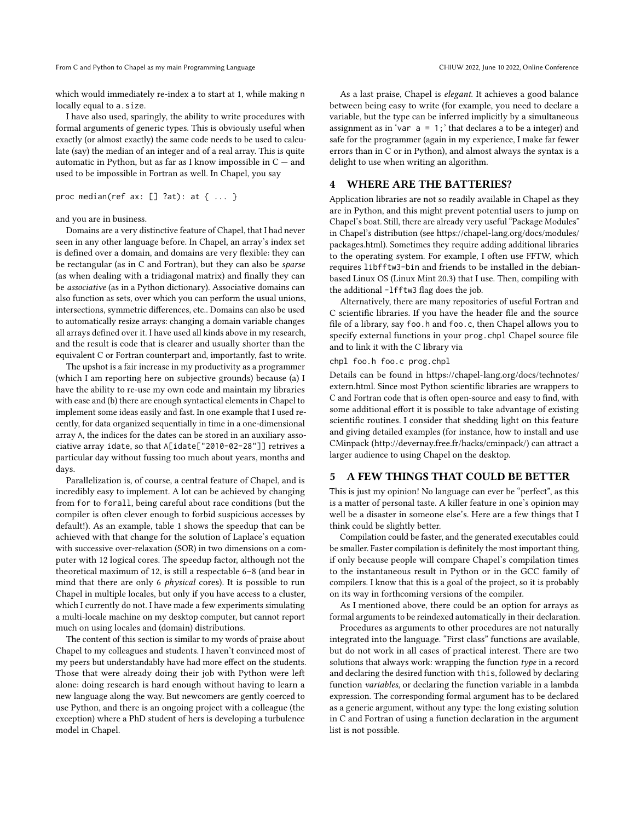From C and Python to Chapel as my main Programming Language CHIUW 2022, June 10 2022, Online Conference

which would immediately re-index a to start at 1, while making n locally equal to a.size.

I have also used, sparingly, the ability to write procedures with formal arguments of generic types. This is obviously useful when exactly (or almost exactly) the same code needs to be used to calculate (say) the median of an integer and of a real array. This is quite automatic in Python, but as far as I know impossible in  $C$  – and used to be impossible in Fortran as well. In Chapel, you say

proc median(ref ax:  $[]$  ?at): at  $\{ \ldots \}$ 

and you are in business.

Domains are a very distinctive feature of Chapel, that I had never seen in any other language before. In Chapel, an array's index set is defined over a domain, and domains are very flexible: they can be rectangular (as in C and Fortran), but they can also be sparse (as when dealing with a tridiagonal matrix) and finally they can be associative (as in a Python dictionary). Associative domains can also function as sets, over which you can perform the usual unions, intersections, symmetric differences, etc.. Domains can also be used to automatically resize arrays: changing a domain variable changes all arrays defined over it. I have used all kinds above in my research, and the result is code that is clearer and usually shorter than the equivalent C or Fortran counterpart and, importantly, fast to write.

The upshot is a fair increase in my productivity as a programmer (which I am reporting here on subjective grounds) because (a) I have the ability to re-use my own code and maintain my libraries with ease and (b) there are enough syntactical elements in Chapel to implement some ideas easily and fast. In one example that I used recently, for data organized sequentially in time in a one-dimensional array A, the indices for the dates can be stored in an auxiliary associative array idate, so that A[idate["2010-02-28"]] retrives a particular day without fussing too much about years, months and days.

Parallelization is, of course, a central feature of Chapel, and is incredibly easy to implement. A lot can be achieved by changing from for to forall, being careful about race conditions (but the compiler is often clever enough to forbid suspicious accesses by default!). As an example, table [1](#page-3-2) shows the speedup that can be achieved with that change for the solution of Laplace's equation with successive over-relaxation (SOR) in two dimensions on a computer with 12 logical cores. The speedup factor, although not the theoretical maximum of 12, is still a respectable 6–8 (and bear in mind that there are only 6 physical cores). It is possible to run Chapel in multiple locales, but only if you have access to a cluster, which I currently do not. I have made a few experiments simulating a multi-locale machine on my desktop computer, but cannot report much on using locales and (domain) distributions.

The content of this section is similar to my words of praise about Chapel to my colleagues and students. I haven't convinced most of my peers but understandably have had more effect on the students. Those that were already doing their job with Python were left alone: doing research is hard enough without having to learn a new language along the way. But newcomers are gently coerced to use Python, and there is an ongoing project with a colleague (the exception) where a PhD student of hers is developing a turbulence model in Chapel.

As a last praise, Chapel is elegant. It achieves a good balance between being easy to write (for example, you need to declare a variable, but the type can be inferred implicitly by a simultaneous assignment as in 'var  $a = 1$ ; 'that declares a to be a integer) and safe for the programmer (again in my experience, I make far fewer errors than in C or in Python), and almost always the syntax is a delight to use when writing an algorithm.

## 4 WHERE ARE THE BATTERIES?

Application libraries are not so readily available in Chapel as they are in Python, and this might prevent potential users to jump on Chapel's boat. Still, there are already very useful "Package Modules" in Chapel's distribution (see [https://chapel-lang.org/docs/modules/](https://chapel-lang.org/docs/modules/packages.html) [packages.html\)](https://chapel-lang.org/docs/modules/packages.html). Sometimes they require adding additional libraries to the operating system. For example, I often use FFTW, which requires libfftw3-bin and friends to be installed in the debianbased Linux OS (Linux Mint 20.3) that I use. Then, compiling with the additional -lfftw3 flag does the job.

Alternatively, there are many repositories of useful Fortran and C scientific libraries. If you have the header file and the source file of a library, say foo.h and foo.c, then Chapel allows you to specify external functions in your prog.chpl Chapel source file and to link it with the C library via

chpl foo.h foo.c prog.chpl

Details can be found in [https://chapel-lang.org/docs/technotes/](https://chapel-lang.org/docs/technotes/extern.html) [extern.html.](https://chapel-lang.org/docs/technotes/extern.html) Since most Python scientific libraries are wrappers to C and Fortran code that is often open-source and easy to find, with some additional effort it is possible to take advantage of existing scientific routines. I consider that shedding light on this feature and giving detailed examples (for instance, how to install and use CMinpack (http://devernay.free.fr/hacks/cminpack/) can attract a larger audience to using Chapel on the desktop.

#### 5 A FEW THINGS THAT COULD BE BETTER

This is just my opinion! No language can ever be "perfect", as this is a matter of personal taste. A killer feature in one's opinion may well be a disaster in someone else's. Here are a few things that I think could be slightly better.

Compilation could be faster, and the generated executables could be smaller. Faster compilation is definitely the most important thing, if only because people will compare Chapel's compilation times to the instantaneous result in Python or in the GCC family of compilers. I know that this is a goal of the project, so it is probably on its way in forthcoming versions of the compiler.

As I mentioned above, there could be an option for arrays as formal arguments to be reindexed automatically in their declaration.

Procedures as arguments to other procedures are not naturally integrated into the language. "First class" functions are available, but do not work in all cases of practical interest. There are two solutions that always work: wrapping the function  $type$  in a record and declaring the desired function with this, followed by declaring function variables, or declaring the function variable in a lambda expression. The corresponding formal argument has to be declared as a generic argument, without any type: the long existing solution in C and Fortran of using a function declaration in the argument list is not possible.